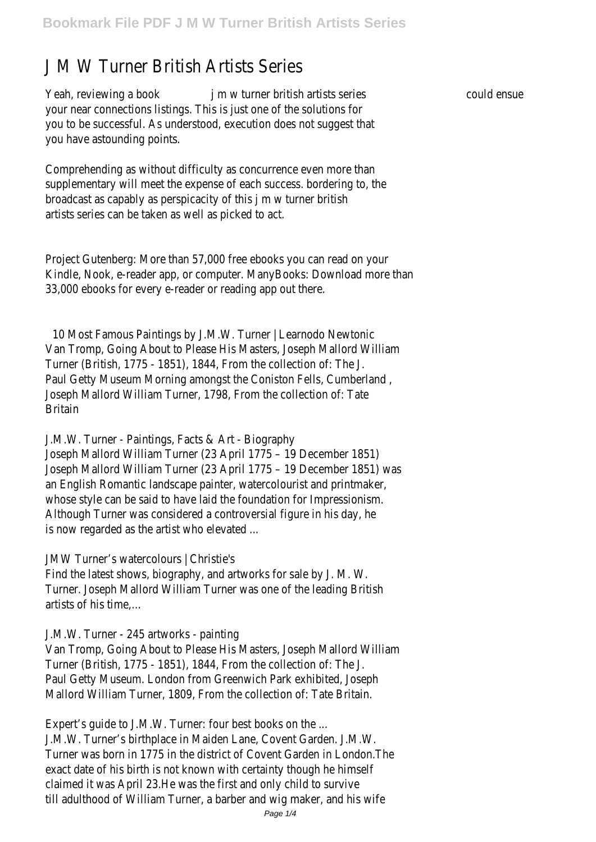# J M W Turner British Artists Series

Yeah, reviewing a book jm w turner british artists series could ensue your near connections listings. This is just one of the solutions for you to be successful. As understood, execution does not suggest that you have astounding points.

Comprehending as without difficulty as concurrence even more than supplementary will meet the expense of each success. bordering to, the broadcast as capably as perspicacity of this j m w turner british artists series can be taken as well as picked to act.

Project Gutenberg: More than 57,000 free ebooks you can read on your Kindle, Nook, e-reader app, or computer. ManyBooks: Download more than 33,000 ebooks for every e-reader or reading app out there.

10 Most Famous Paintings by J.M.W. Turner | Learnodo Newtonic Van Tromp, Going About to Please His Masters, Joseph Mallord William Turner (British, 1775 - 1851), 1844, From the collection of: The J. Paul Getty Museum Morning amongst the Coniston Fells, Cumberland , Joseph Mallord William Turner, 1798, From the collection of: Tate Britain

J.M.W. Turner - Paintings, Facts & Art - Biography

Joseph Mallord William Turner (23 April 1775 – 19 December 1851) Joseph Mallord William Turner (23 April 1775 – 19 December 1851) was an English Romantic landscape painter, watercolourist and printmaker, whose style can be said to have laid the foundation for Impressionism. Although Turner was considered a controversial figure in his day, he is now regarded as the artist who elevated ...

JMW Turner's watercolours | Christie's

Find the latest shows, biography, and artworks for sale by J. M. W. Turner. Joseph Mallord William Turner was one of the leading British artists of his time,…

#### J.M.W. Turner - 245 artworks - painting

Van Tromp, Going About to Please His Masters, Joseph Mallord William Turner (British, 1775 - 1851), 1844, From the collection of: The J. Paul Getty Museum. London from Greenwich Park exhibited, Joseph Mallord William Turner, 1809, From the collection of: Tate Britain.

Expert's guide to J.M.W. Turner: four best books on the ... J.M.W. Turner's birthplace in Maiden Lane, Covent Garden. J.M.W. Turner was born in 1775 in the district of Covent Garden in London.The exact date of his birth is not known with certainty though he himself claimed it was April 23.He was the first and only child to survive till adulthood of William Turner, a barber and wig maker, and his wife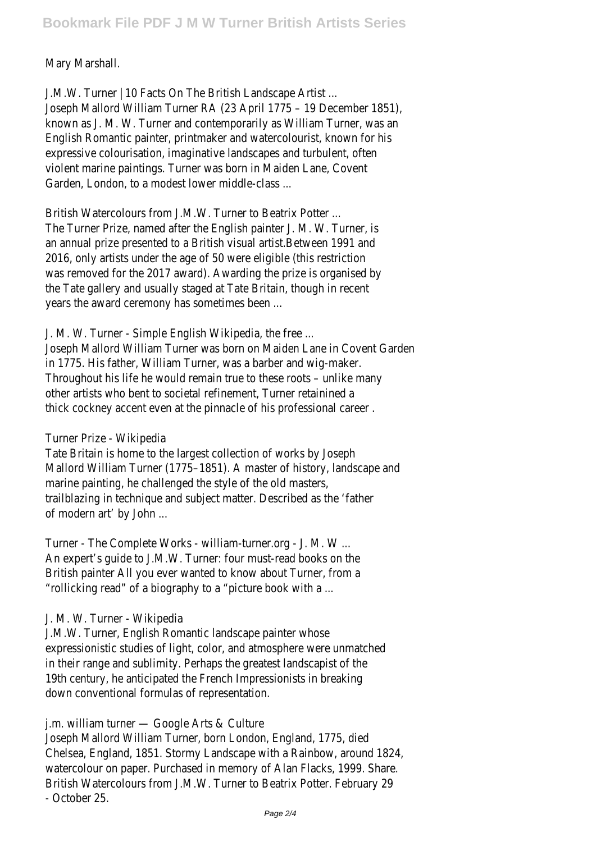Mary Marshall.

J.M.W. Turner | 10 Facts On The British Landscape Artist ... Joseph Mallord William Turner RA (23 April 1775 – 19 December 1851), known as J. M. W. Turner and contemporarily as William Turner, was an English Romantic painter, printmaker and watercolourist, known for his expressive colourisation, imaginative landscapes and turbulent, often violent marine paintings. Turner was born in Maiden Lane, Covent Garden, London, to a modest lower middle-class ...

British Watercolours from J.M.W. Turner to Beatrix Potter ... The Turner Prize, named after the English painter J. M. W. Turner, is an annual prize presented to a British visual artist.Between 1991 and 2016, only artists under the age of 50 were eligible (this restriction was removed for the 2017 award). Awarding the prize is organised by the Tate gallery and usually staged at Tate Britain, though in recent years the award ceremony has sometimes been ...

J. M. W. Turner - Simple English Wikipedia, the free ...

Joseph Mallord William Turner was born on Maiden Lane in Covent Garden in 1775. His father, William Turner, was a barber and wig-maker. Throughout his life he would remain true to these roots – unlike many other artists who bent to societal refinement, Turner retainined a thick cockney accent even at the pinnacle of his professional career .

## Turner Prize - Wikipedia

Tate Britain is home to the largest collection of works by Joseph Mallord William Turner (1775–1851). A master of history, landscape and marine painting, he challenged the style of the old masters, trailblazing in technique and subject matter. Described as the 'father of modern art' by John ...

Turner - The Complete Works - william-turner.org - J. M. W ... An expert's guide to J.M.W. Turner: four must-read books on the British painter All you ever wanted to know about Turner, from a "rollicking read" of a biography to a "picture book with a ...

## J. M. W. Turner - Wikipedia

J.M.W. Turner, English Romantic landscape painter whose expressionistic studies of light, color, and atmosphere were unmatched in their range and sublimity. Perhaps the greatest landscapist of the 19th century, he anticipated the French Impressionists in breaking down conventional formulas of representation.

## j.m. william turner — Google Arts & Culture

Joseph Mallord William Turner, born London, England, 1775, died Chelsea, England, 1851. Stormy Landscape with a Rainbow, around 1824, watercolour on paper. Purchased in memory of Alan Flacks, 1999. Share. British Watercolours from J.M.W. Turner to Beatrix Potter. February 29 - October 25.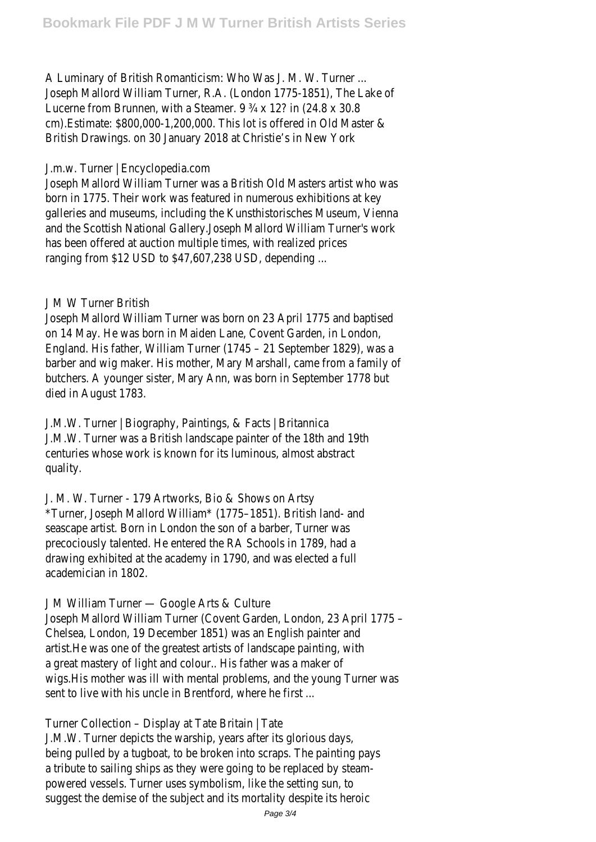A Luminary of British Romanticism: Who Was J. M. W. Turner ... Joseph Mallord William Turner, R.A. (London 1775-1851), The Lake of Lucerne from Brunnen, with a Steamer. 9 ¾ x 12? in (24.8 x 30.8 cm).Estimate: \$800,000-1,200,000. This lot is offered in Old Master & British Drawings. on 30 January 2018 at Christie's in New York

#### J.m.w. Turner | Encyclopedia.com

Joseph Mallord William Turner was a British Old Masters artist who was born in 1775. Their work was featured in numerous exhibitions at key galleries and museums, including the Kunsthistorisches Museum, Vienna and the Scottish National Gallery.Joseph Mallord William Turner's work has been offered at auction multiple times, with realized prices ranging from \$12 USD to \$47,607,238 USD, depending ...

## J M W Turner British

Joseph Mallord William Turner was born on 23 April 1775 and baptised on 14 May. He was born in Maiden Lane, Covent Garden, in London, England. His father, William Turner (1745 – 21 September 1829), was a barber and wig maker. His mother, Mary Marshall, came from a family of butchers. A younger sister, Mary Ann, was born in September 1778 but died in August 1783.

J.M.W. Turner | Biography, Paintings, & Facts | Britannica J.M.W. Turner was a British landscape painter of the 18th and 19th centuries whose work is known for its luminous, almost abstract quality.

J. M. W. Turner - 179 Artworks, Bio & Shows on Artsy \*Turner, Joseph Mallord William\* (1775–1851). British land- and seascape artist. Born in London the son of a barber, Turner was precociously talented. He entered the RA Schools in 1789, had a drawing exhibited at the academy in 1790, and was elected a full academician in 1802.

## J M William Turner — Google Arts & Culture

Joseph Mallord William Turner (Covent Garden, London, 23 April 1775 – Chelsea, London, 19 December 1851) was an English painter and artist.He was one of the greatest artists of landscape painting, with a great mastery of light and colour.. His father was a maker of wigs.His mother was ill with mental problems, and the young Turner was sent to live with his uncle in Brentford, where he first ...

Turner Collection – Display at Tate Britain | Tate

J.M.W. Turner depicts the warship, years after its glorious days, being pulled by a tugboat, to be broken into scraps. The painting pays a tribute to sailing ships as they were going to be replaced by steampowered vessels. Turner uses symbolism, like the setting sun, to suggest the demise of the subject and its mortality despite its heroic